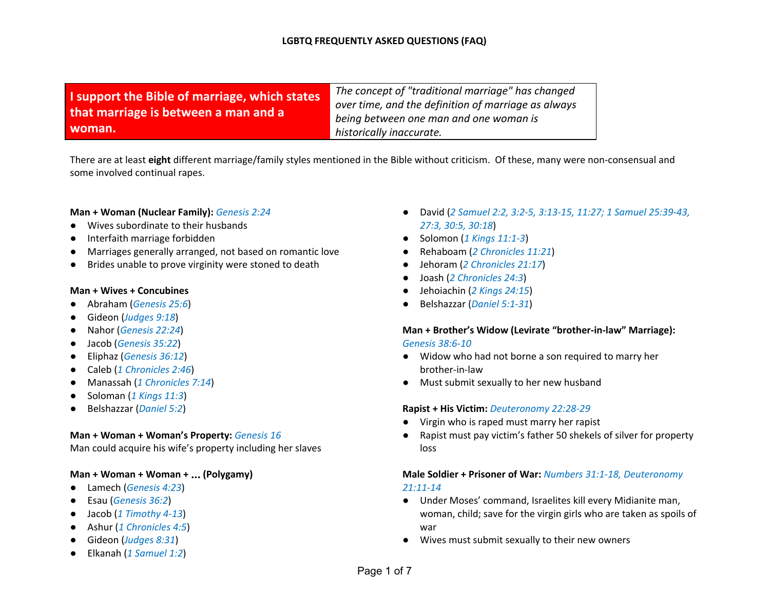| I support the Bible of marriage, which states | The concept of "traditional marriage" has changed<br>over time, and the definition of marriage as always |
|-----------------------------------------------|----------------------------------------------------------------------------------------------------------|
| that marriage is between a man and a          | being between one man and one woman is                                                                   |
| woman.                                        | historically inaccurate.                                                                                 |

There are at least **eight** different marriage/family styles mentioned in the Bible without criticism. Of these, many were non-consensual and some involved continual rapes.

#### **Man + Woman (Nuclear Family):** *Genesis 2:24*

- Wives subordinate to their husbands
- Interfaith marriage forbidden
- Marriages generally arranged, not based on romantic love
- Brides unable to prove virginity were stoned to death

#### **Man + Wives + Concubines**

- Abraham (*Genesis 25:6*)
- Gideon (*Judges 9:18*)
- Nahor (*Genesis 22:24*)
- Jacob (*Genesis 35:22*)
- Eliphaz (*Genesis 36:12*)
- Caleb (*1 Chronicles 2:46*)
- Manassah (*1 Chronicles 7:14*)
- Soloman (*1 Kings 11:3*)
- Belshazzar (*Daniel 5:2*)

#### **Man + Woman + Woman's Property:** *Genesis 16*

Man could acquire his wife's property including her slaves

## **Man + Woman + Woman +** … **(Polygamy)**

- Lamech (*Genesis 4:23*)
- Esau (*Genesis 36:2*)
- Jacob (*1 Timothy 4-13*)
- Ashur (*1 Chronicles 4:5*)
- Gideon (*Judges 8:31*)
- Elkanah (*1 Samuel 1:2*)
- David (*2 Samuel 2:2, 3:2-5, 3:13-15, 11:27; 1 Samuel 25:39-43, 27:3, 30:5, 30:18*)
- Solomon (*1 Kings 11:1-3*)
- Rehaboam (*2 Chronicles 11:21*)
- Jehoram (*2 Chronicles 21:17*)
- Joash (*2 Chronicles 24:3*)
- Jehoiachin (*2 Kings 24:15*)
- Belshazzar (*Daniel 5:1-31*)

### **Man + Brother's Widow (Levirate "brother-in-law" Marriage):** *Genesis 38:6-10*

- Widow who had not borne a son required to marry her brother-in-law
- Must submit sexually to her new husband

### **Rapist + His Victim:** *Deuteronomy 22:28-29*

- Virgin who is raped must marry her rapist
- Rapist must pay victim's father 50 shekels of silver for property loss

## **Male Soldier + Prisoner of War:** *Numbers 31:1-18, Deuteronomy 21:11-14*

- Under Moses' command, Israelites kill every Midianite man, woman, child; save for the virgin girls who are taken as spoils of war
- Wives must submit sexually to their new owners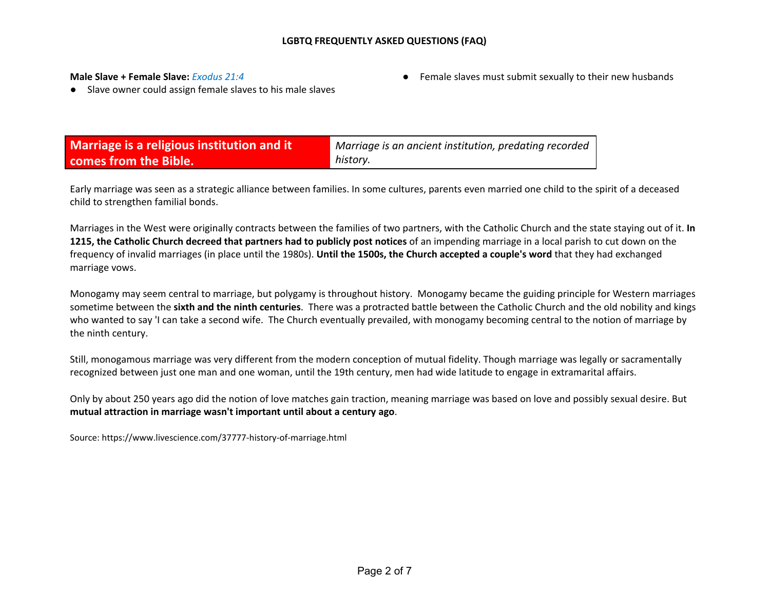#### **Male Slave + Female Slave:** *Exodus 21:4*

● Female slaves must submit sexually to their new husbands

● Slave owner could assign female slaves to his male slaves

| Marriage is a religious institution and it | Marriage is an ancient institution, predating recorded |
|--------------------------------------------|--------------------------------------------------------|
| comes from the Bible.                      | history.                                               |

Early marriage was seen as a strategic alliance between families. In some cultures, parents even married one child to the spirit of a deceased child to strengthen familial bonds.

Marriages in the West were originally contracts between the families of two partners, with the Catholic Church and the state staying out of it. **In 1215, the Catholic Church decreed that partners had to publicly post notices** of an impending marriage in a local parish to cut down on the frequency of invalid marriages (in place until the 1980s). **Until the 1500s, the Church accepted a couple's word** that they had exchanged marriage vows.

Monogamy may seem central to marriage, but polygamy is throughout history. Monogamy became the guiding principle for Western marriages sometime between the **sixth and the ninth centuries**. There was a protracted battle between the Catholic Church and the old nobility and kings who wanted to say 'I can take a second wife. The Church eventually prevailed, with monogamy becoming central to the notion of marriage by the ninth century.

Still, monogamous marriage was very different from the modern conception of mutual fidelity. Though marriage was legally or sacramentally recognized between just one man and one woman, until the 19th century, men had wide latitude to engage in extramarital affairs.

Only by about 250 years ago did the notion of love matches gain traction, meaning marriage was based on love and possibly sexual desire. But **mutual attraction in marriage wasn't important until about a century ago**.

Source: https://www.livescience.com/37777-history-of-marriage.html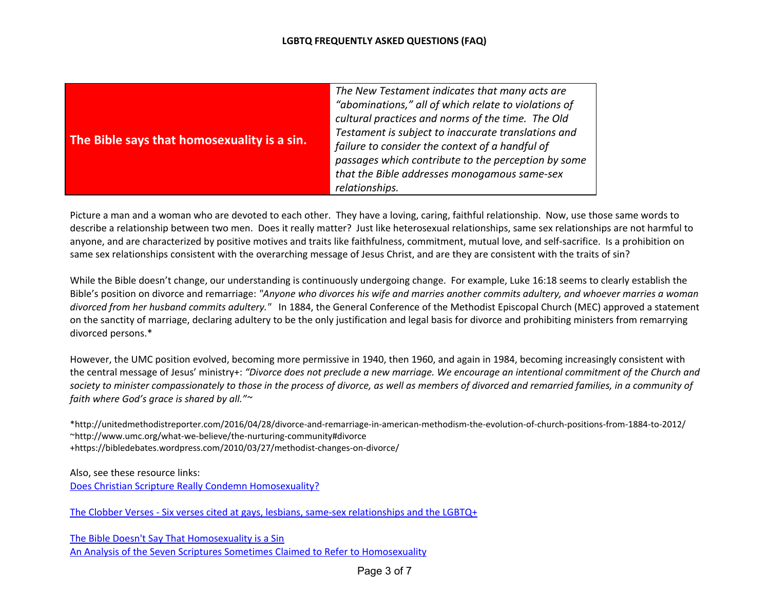| The Bible says that homosexuality is a sin. | The New Testament indicates that many acts are<br>"abominations," all of which relate to violations of<br>cultural practices and norms of the time. The Old<br>Testament is subject to inaccurate translations and<br>failure to consider the context of a handful of<br>passages which contribute to the perception by some<br>that the Bible addresses monogamous same-sex |
|---------------------------------------------|------------------------------------------------------------------------------------------------------------------------------------------------------------------------------------------------------------------------------------------------------------------------------------------------------------------------------------------------------------------------------|
|                                             | relationships.                                                                                                                                                                                                                                                                                                                                                               |

Picture a man and a woman who are devoted to each other. They have a loving, caring, faithful relationship. Now, use those same words to describe a relationship between two men. Does it really matter? Just like heterosexual relationships, same sex relationships are not harmful to anyone, and are characterized by positive motives and traits like faithfulness, commitment, mutual love, and self-sacrifice. Is a prohibition on same sex relationships consistent with the overarching message of Jesus Christ, and are they are consistent with the traits of sin?

While the Bible doesn't change, our understanding is continuously undergoing change. For example, Luke 16:18 seems to clearly establish the Bible's position on divorce and remarriage: "Anyone who divorces his wife and marries another commits adultery, and whoever marries a woman *divorced from her husband commits adultery."* In 1884, the General Conference of the Methodist Episcopal Church (MEC) approved a statement on the sanctity of marriage, declaring adultery to be the only justification and legal basis for divorce and prohibiting ministers from remarrying divorced persons.\*

However, the UMC position evolved, becoming more permissive in 1940, then 1960, and again in 1984, becoming increasingly consistent with the central message of Jesus' ministry+: "Divorce does not preclude a new marriage. We encourage an intentional commitment of the Church and society to minister compassionately to those in the process of divorce, as well as members of divorced and remarried families, in a community of *faith where God's grace is shared by all."~*

\*http://unitedmethodistreporter.com/2016/04/28/divorce-and-remarriage-in-american-methodism-the-evolution-of-church-positions-from-1884-to-2012/ ~http://www.umc.org/what-we-believe/the-nurturing-community#divorce +https://bibledebates.wordpress.com/2010/03/27/methodist-changes-on-divorce/

Also, see these resource links: Does Christian Scripture Really Condemn [Homosexuality?](http://www.patheos.com/blogs/freedhearts/2016/09/01/nocondemnation/)

The Clobber Verses - Six verses cited at gays, lesbians, same-sex [relationships](https://postbarthian.com/2017/10/11/clobber-verses-six-scriptures-cited-gays-lesbians-sex-relationships-lgbtq/) and the LGBTQ+

The Bible Doesn't Say That [Homosexuality](http://www.rmnetwork.org/newrmn/wp-content/uploads/2016/09/Booklet-about-Homosexuality-and-the-Bible-Sept.-2016.pdf) is a Sin An Analysis of the Seven Scriptures Sometimes Claimed to Refer to [Homosexuality](http://www.rmnetwork.org/newrmn/wp-content/uploads/2016/09/Booklet-about-Homosexuality-and-the-Bible-Sept.-2016.pdf)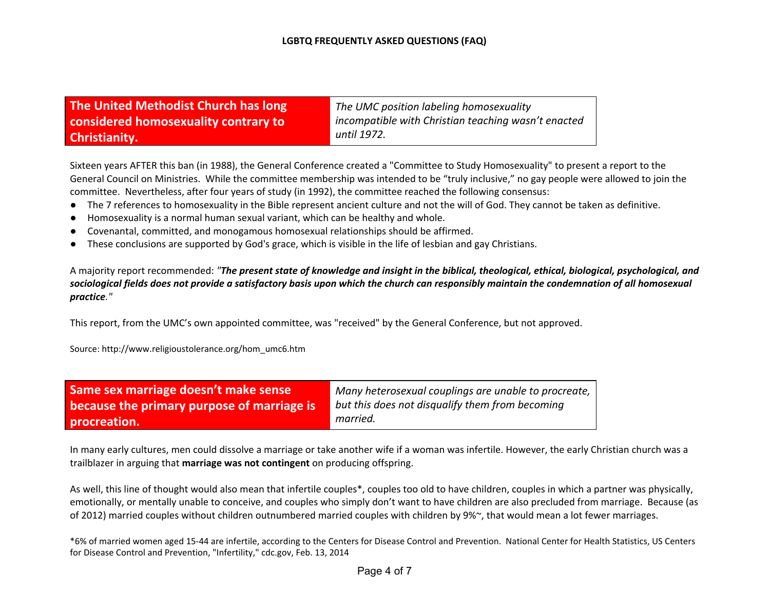| The United Methodist Church has long |  |
|--------------------------------------|--|
| considered homosexuality contrary to |  |
| <b>Christianity.</b>                 |  |

*The UMC position labeling homosexuality incompatible with Christian teaching wasn't enacted until 1972.*

Sixteen years AFTER this ban (in 1988), the General Conference created a "Committee to Study Homosexuality" to present a report to the General Council on Ministries. While the committee membership was intended to be "truly inclusive," no gay people were allowed to join the committee. Nevertheless, after four years of study (in 1992), the committee reached the following consensus:

- The 7 references to homosexuality in the Bible represent ancient culture and not the will of God. They cannot be taken as definitive.
- Homosexuality is a normal human sexual variant, which can be healthy and whole.
- Covenantal, committed, and monogamous homosexual relationships should be affirmed.
- These conclusions are supported by God's grace, which is visible in the life of lesbian and gay Christians.

A majority report recommended: "The present state of knowledge and insight in the biblical, theological, ethical, biological, psychological, and sociological fields does not provide a satisfactory basis upon which the church can responsibly maintain the condemnation of all homosexual *practice."*

This report, from the UMC's own appointed committee, was "received" by the General Conference, but not approved.

Source: http://www.religioustolerance.org/hom\_umc6.htm

| Same sex marriage doesn't make sense       | Many heterosexual couplings are unable to procreate, |
|--------------------------------------------|------------------------------------------------------|
| because the primary purpose of marriage is | but this does not disqualify them from becoming      |
| procreation.                               | married.                                             |

In many early cultures, men could dissolve a marriage or take another wife if a woman was infertile. However, the early Christian church was a trailblazer in arguing that **marriage was not contingent** on producing offspring.

As well, this line of thought would also mean that infertile couples\*, couples too old to have children, couples in which a partner was physically, emotionally, or mentally unable to conceive, and couples who simply don't want to have children are also precluded from marriage. Because (as of 2012) married couples without children outnumbered married couples with children by 9%~, that would mean a lot fewer marriages.

\*6% of married women aged 15-44 are infertile, according to the Centers for Disease Control and Prevention. National Center for Health Statistics, US Centers for Disease Control and Prevention, "Infertility," cdc.gov, Feb. 13, 2014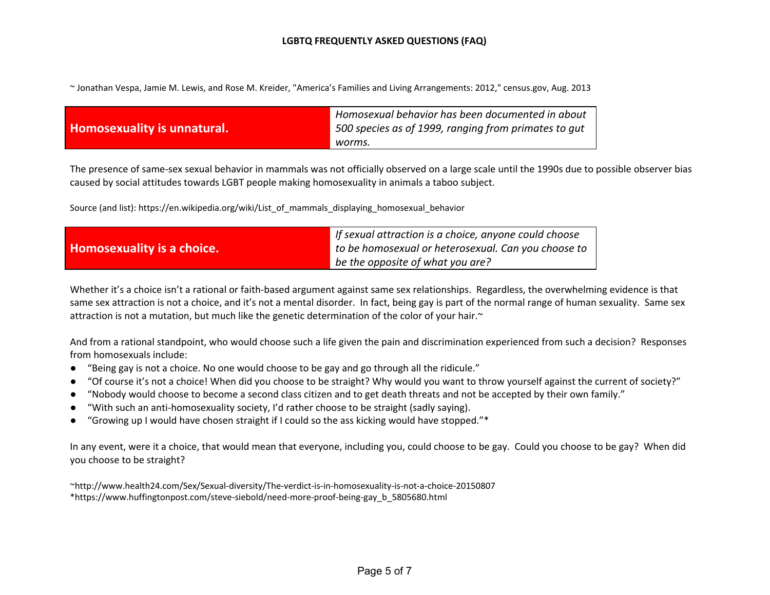~ Jonathan Vespa, Jamie M. Lewis, and Rose M. Kreider, "America's Families and Living Arrangements: 2012," census.gov, Aug. 2013

| Homosexuality is unnatural. | Homosexual behavior has been documented in about<br>$^{\prime}$ 500 species as of 1999, ranging from primates to gut |
|-----------------------------|----------------------------------------------------------------------------------------------------------------------|
|                             | worms.                                                                                                               |

The presence of same-sex sexual behavior in mammals was not officially observed on a large scale until the 1990s due to possible observer bias caused by social attitudes towards LGBT people making homosexuality in animals a taboo subject.

Source (and list): https://en.wikipedia.org/wiki/List\_of\_mammals\_displaying\_homosexual\_behavior

|                            | If sexual attraction is a choice, anyone could choose |
|----------------------------|-------------------------------------------------------|
| Homosexuality is a choice. | to be homosexual or heterosexual. Can you choose to   |
|                            | be the opposite of what you are?                      |

Whether it's a choice isn't a rational or faith-based argument against same sex relationships. Regardless, the overwhelming evidence is that same sex attraction is not a choice, and it's not a mental disorder. In fact, being gay is part of the normal range of human sexuality. Same sex attraction is not a mutation, but much like the genetic determination of the color of your hair.~

And from a rational standpoint, who would choose such a life given the pain and discrimination experienced from such a decision? Responses from homosexuals include:

- "Being gay is not a choice. No one would choose to be gay and go through all the ridicule."
- "Of course it's not a choice! When did you choose to be straight? Why would you want to throw yourself against the current of society?"
- "Nobody would choose to become a second class citizen and to get death threats and not be accepted by their own family."
- "With such an anti-homosexuality society, I'd rather choose to be straight (sadly saying).
- "Growing up I would have chosen straight if I could so the ass kicking would have stopped."\*

In any event, were it a choice, that would mean that everyone, including you, could choose to be gay. Could you choose to be gay? When did you choose to be straight?

~http://www.health24.com/Sex/Sexual-diversity/The-verdict-is-in-homosexuality-is-not-a-choice-20150807 \*https://www.huffingtonpost.com/steve-siebold/need-more-proof-being-gay\_b\_5805680.html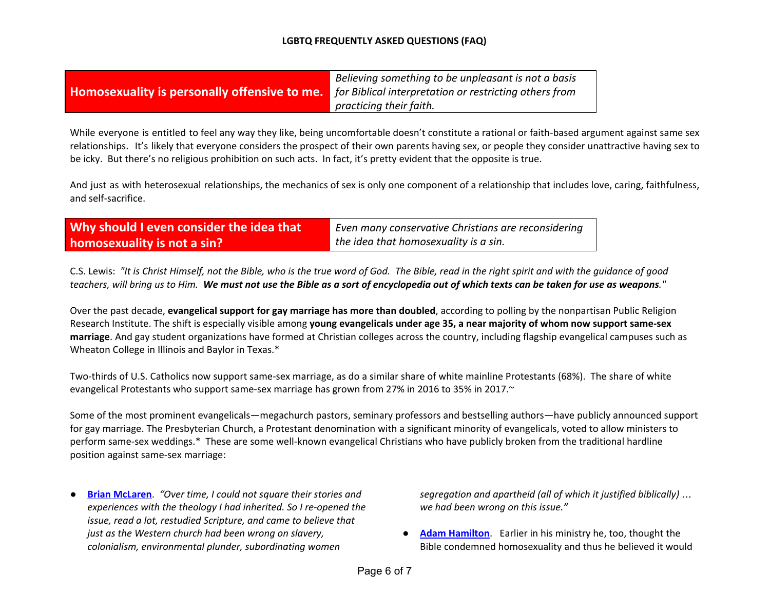|                                                     | Believing something to be unpleasant is not a basis    |
|-----------------------------------------------------|--------------------------------------------------------|
| <b>Homosexuality is personally offensive to me.</b> | for Biblical interpretation or restricting others from |
|                                                     | practicing their faith.                                |

While everyone is entitled to feel any way they like, being uncomfortable doesn't constitute a rational or faith-based argument against same sex relationships. It's likely that everyone considers the prospect of their own parents having sex, or people they consider unattractive having sex to be icky. But there's no religious prohibition on such acts. In fact, it's pretty evident that the opposite is true.

And just as with heterosexual relationships, the mechanics of sex is only one component of a relationship that includes love, caring, faithfulness, and self-sacrifice.

| Why should I even consider the idea that | Even many conservative Christians are reconsidering |
|------------------------------------------|-----------------------------------------------------|
| homosexuality is not a sin?              | the idea that homosexuality is a sin.               |

C.S. Lewis: "It is Christ Himself, not the Bible, who is the true word of God. The Bible, read in the right spirit and with the guidance of good teachers, will bring us to Him. We must not use the Bible as a sort of encyclopedia out of which texts can be taken for use as weapons."

Over the past decade, **evangelical support for gay marriage has more than doubled**, according to polling by the nonpartisan Public Religion Research Institute. The shift is especially visible among young evangelicals under age 35, a near majority of whom now support same-sex **marriage**. And gay student organizations have formed at Christian colleges across the country, including flagship evangelical campuses such as Wheaton College in Illinois and Baylor in Texas.\*

Two-thirds of U.S. Catholics now support same-sex marriage, as do a similar share of white mainline Protestants (68%). The share of white evangelical Protestants who support same-sex marriage has grown from 27% in 2016 to 35% in 2017.~

Some of the most prominent evangelicals—megachurch pastors, seminary professors and bestselling authors—have publicly announced support for gay marriage. The Presbyterian Church, a Protestant denomination with a significant minority of evangelicals, voted to allow ministers to perform same-sex weddings.\* These are some well-known evangelical Christians who have publicly broken from the traditional hardline position against same-sex marriage:

● **Brian [McLaren](http://www.patheos.com/blogs/tonyjones/2012/10/08/brian-mclaren-clarifies-his-view-on-homosexuality/)**. *"Over time, I could not square their stories and experiences with the theology I had inherited. So I re-opened the issue, read a lot, restudied Scripture, and came to believe that just as the Western church had been wrong on slavery, colonialism, environmental plunder, subordinating women*

*segregation and apartheid (all of which it justified biblically)* … *we had been wrong on this issue."*

**Adam [Hamilton](https://www.flatlandkc.org/beyond-belief/adam-hamilton-strains-prevent-schism-united-methodist-church/)**. Earlier in his ministry he, too, thought the Bible condemned homosexuality and thus he believed it would